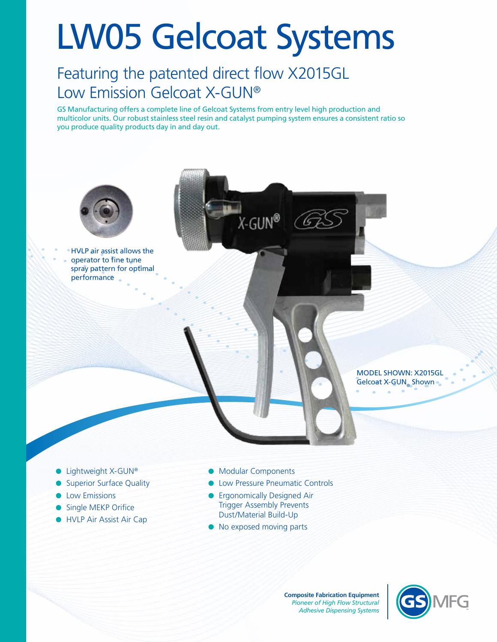# LW05 Gelcoat Systems

## Featuring the patented direct flow X2015GL Low Emission Gelcoat X-GUN®

GS Manufacturing offers a complete line of Gelcoat Systems from entry level high production and multicolor units. Our robust stainless steel resin and catalyst pumping system ensures a consistent ratio so you produce quality products day in and day out.



- **I** HVLP Air Assist Air Cap
- Dust/Material Build-Up
- No exposed moving parts

**Composite Fabrication Equipment** *Pioneer of High Flow Structural Adhesive Dispensing Systems*